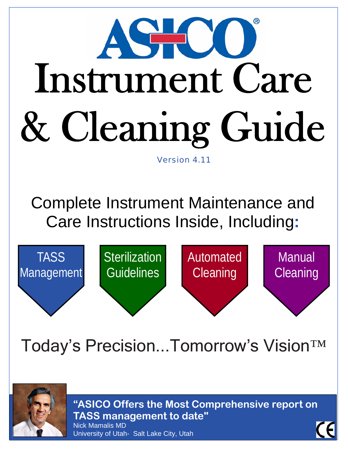

Complete Instrument Maintenance and Care Instructions Inside, Including**:** 



# Today's Precision...Tomorrow's Vision™



**"ASICO Offers the Most Comprehensive report on TASS management to date"**  Nick Mamalis MD University of Utah- Salt Lake City, Utah

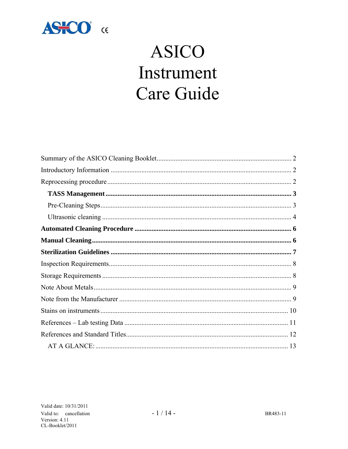

## **ASICO** Instrument Care Guide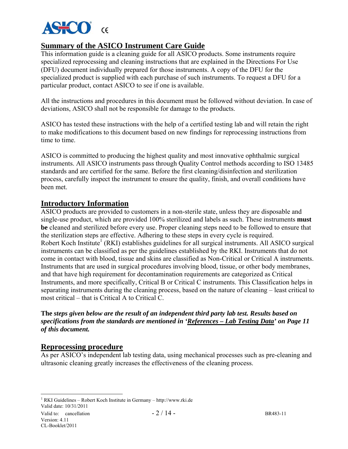

## **Summary of the ASICO Instrument Care Guide**

This information guide is a cleaning guide for all ASICO products. Some instruments require specialized reprocessing and cleaning instructions that are explained in the Directions For Use (DFU) document individually prepared for those instruments. A copy of the DFU for the specialized product is supplied with each purchase of such instruments. To request a DFU for a particular product, contact ASICO to see if one is available.

All the instructions and procedures in this document must be followed without deviation. In case of deviations, ASICO shall not be responsible for damage to the products.

ASICO has tested these instructions with the help of a certified testing lab and will retain the right to make modifications to this document based on new findings for reprocessing instructions from time to time.

ASICO is committed to producing the highest quality and most innovative ophthalmic surgical instruments. All ASICO instruments pass through Quality Control methods according to ISO 13485 standards and are certified for the same. Before the first cleaning/disinfection and sterilization process, carefully inspect the instrument to ensure the quality, finish, and overall conditions have been met.

## **Introductory Information**

ASICO products are provided to customers in a non-sterile state, unless they are disposable and single-use product, which are provided 100% sterilized and labels as such. These instruments **must be** cleaned and sterilized before every use. Proper cleaning steps need to be followed to ensure that the sterilization steps are effective. Adhering to these steps in every cycle is required. Robert Koch Institute<sup>1</sup> (RKI) establishes guidelines for all surgical instruments. All ASICO surgical instruments can be classified as per the guidelines established by the RKI. Instruments that do not come in contact with blood, tissue and skins are classified as Non-Critical or Critical A instruments. Instruments that are used in surgical procedures involving blood, tissue, or other body membranes, and that have high requirement for decontamination requirements are categorized as Critical Instruments, and more specifically, Critical B or Critical C instruments. This Classification helps in separating instruments during the cleaning process, based on the nature of cleaning – least critical to most critical – that is Critical A to Critical C.

**The** *steps given below are the result of an independent third party lab test. Results based on specifications from the standards are mentioned in 'References – Lab Testing Data' on Page 11 of this document.*

#### **Reprocessing procedure**

As per ASICO's independent lab testing data, using mechanical processes such as pre-cleaning and ultrasonic cleaning greatly increases the effectiveness of the cleaning process.

Valid date: 10/31/2011 1 RKI Guidelines – Robert Koch Institute in Germany – http://www.rki.de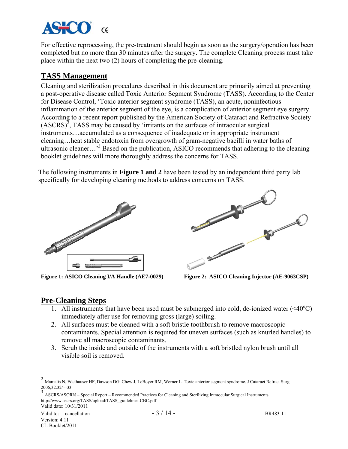

For effective reprocessing, the pre-treatment should begin as soon as the surgery/operation has been completed but no more than 30 minutes after the surgery. The complete Cleaning process must take place within the next two (2) hours of completing the pre-cleaning.

## **TASS Management**

Cleaning and sterilization procedures described in this document are primarily aimed at preventing a post-operative disease called Toxic Anterior Segment Syndrome (TASS). According to the Center for Disease Control, 'Toxic anterior segment syndrome (TASS), an acute, noninfectious inflammation of the anterior segment of the eye, is a complication of anterior segment eye surgery. According to a recent report published by the American Society of Cataract and Refractive Society  $(ASCRS)^2$ , TASS may be caused by 'irritants on the surfaces of intraocular surgical instruments…accumulated as a consequence of inadequate or in appropriate instrument cleaning…heat stable endotoxin from overgrowth of gram-negative bacilli in water baths of ultrasonic cleaner...<sup>3</sup> Based on the publication, ASICO recommends that adhering to the cleaning booklet guidelines will more thoroughly address the concerns for TASS.

The following instruments in **Figure 1 and 2** have been tested by an independent third party lab specifically for developing cleaning methods to address concerns on TASS.





**Figure 1: ASICO Cleaning I/A Handle (AE7-0029) Figure 2: ASICO Cleaning Injector (AE-9063CSP)** 

## **Pre-Cleaning Steps**

- 1. All instruments that have been used must be submerged into cold, de-ionized water  $( $40^{\circ}$ C)$ immediately after use for removing gross (large) soiling.
- 2. All surfaces must be cleaned with a soft bristle toothbrush to remove macroscopic contaminants. Special attention is required for uneven surfaces (such as knurled handles) to remove all macroscopic contaminants.
- 3. Scrub the inside and outside of the instruments with a soft bristled nylon brush until all visible soil is removed.

1

<sup>2</sup> Mamalis N, Edelhauser HF, Dawson DG, Chew J, LeBoyer RM, Werner L. Toxic anterior segment syndrome. J Cataract Refract Surg 2006;32:324--33.

Valid date: 10/31/2011 <sup>3</sup> ASCRS/ASORN – Special Report – Recommended Practices for Cleaning and Sterilizing Intraocular Surgical Instruments http://www.ascrs.org/TASS/upload/TASS\_guidelines-CBC.pdf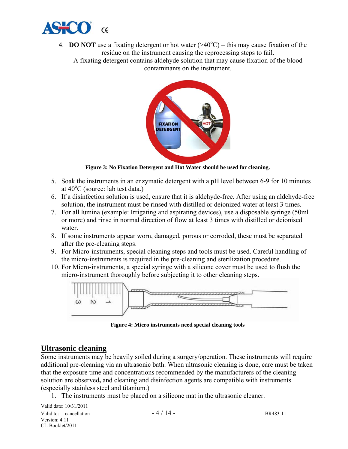

- 4. **DO NOT** use a fixating detergent or hot water  $(\geq 40^{\circ} \text{C})$  this may cause fixation of the residue on the instrument causing the reprocessing steps to fail.
	- A fixating detergent contains aldehyde solution that may cause fixation of the blood contaminants on the instrument.



**Figure 3: No Fixation Detergent and Hot Water should be used for cleaning.** 

- 5. Soak the instruments in an enzymatic detergent with a pH level between 6-9 for 10 minutes at  $40^{\circ}$ C (source: lab test data.)
- 6. If a disinfection solution is used, ensure that it is aldehyde-free. After using an aldehyde-free solution, the instrument must be rinsed with distilled or deionized water at least 3 times.
- 7. For all lumina (example: Irrigating and aspirating devices), use a disposable syringe (50ml or more) and rinse in normal direction of flow at least 3 times with distilled or deionised water.
- 8. If some instruments appear worn, damaged, porous or corroded, these must be separated after the pre-cleaning steps.
- 9. For Micro-instruments, special cleaning steps and tools must be used. Careful handling of the micro-instruments is required in the pre-cleaning and sterilization procedure.
- 10. For Micro-instruments, a special syringe with a silicone cover must be used to flush the micro-instrument thoroughly before subjecting it to other cleaning steps.



**Figure 4: Micro instruments need special cleaning tools** 

#### **Ultrasonic cleaning**

Some instruments may be heavily soiled during a surgery/operation. These instruments will require additional pre-cleaning via an ultrasonic bath. When ultrasonic cleaning is done, care must be taken that the exposure time and concentrations recommended by the manufacturers of the cleaning solution are observed**,** and cleaning and disinfection agents are compatible with instruments (especially stainless steel and titanium.)

1. The instruments must be placed on a silicone mat in the ultrasonic cleaner.

Valid date: 10/31/2011 Valid to: cancellation  $-4/14$  - BR483-11 Version: 4.11 CL-Booklet/2011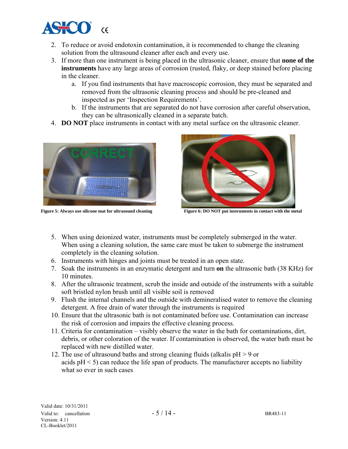

- 2. To reduce or avoid endotoxin contamination, it is recommended to change the cleaning solution from the ultrasound cleaner after each and every use.
- 3. If more than one instrument is being placed in the ultrasonic cleaner, ensure that **none of the instruments** have any large areas of corrosion (rusted, flaky, or deep stained before placing in the cleaner.
	- a. If you find instruments that have macroscopic corrosion, they must be separated and removed from the ultrasonic cleaning process and should be pre-cleaned and inspected as per 'Inspection Requirements'.
	- b. If the instruments that are separated do not have corrosion after careful observation, they can be ultrasonically cleaned in a separate batch.
- 4. **DO NOT** place instruments in contact with any metal surface on the ultrasonic cleaner.





**Figure 5: Always use silicone mat for ultrasound cleaning Figure 6: DO NOT put instruments in contact with the metal** 

- 5. When using deionized water, instruments must be completely submerged in the water. When using a cleaning solution, the same care must be taken to submerge the instrument completely in the cleaning solution.
- 6. Instruments with hinges and joints must be treated in an open state.
- 7. Soak the instruments in an enzymatic detergent and turn **on** the ultrasonic bath (38 KHz) for 10 minutes.
- 8. After the ultrasonic treatment, scrub the inside and outside of the instruments with a suitable soft bristled nylon brush until all visible soil is removed
- 9. Flush the internal channels and the outside with demineralised water to remove the cleaning detergent. A free drain of water through the instruments is required
- 10. Ensure that the ultrasonic bath is not contaminated before use. Contamination can increase the risk of corrosion and impairs the effective cleaning process.
- 11. Criteria for contamination visibly observe the water in the bath for contaminations, dirt, debris, or other coloration of the water. If contamination is observed, the water bath must be replaced with new distilled water.
- 12. The use of ultrasound baths and strong cleaning fluids (alkalis  $pH > 9$  or acids  $pH < 5$ ) can reduce the life span of products. The manufacturer accepts no liability what so ever in such cases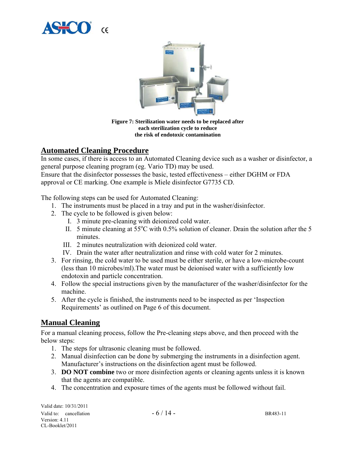



**Figure 7: Sterilization water needs to be replaced after each sterilization cycle to reduce the risk of endotoxic contamination** 

## **Automated Cleaning Procedure**

In some cases, if there is access to an Automated Cleaning device such as a washer or disinfector, a general purpose cleaning program (eg. Vario TD) may be used.

Ensure that the disinfector possesses the basic, tested effectiveness – either DGHM or FDA approval or CE marking. One example is Miele disinfector G7735 CD.

The following steps can be used for Automated Cleaning:

- 1. The instruments must be placed in a tray and put in the washer/disinfector.
- 2. The cycle to be followed is given below:
	- I. 3 minute pre-cleaning with deionized cold water.
	- II. 5 minute cleaning at  $55^{\circ}$ C with 0.5% solution of cleaner. Drain the solution after the 5 minutes.
	- III. 2 minutes neutralization with deionized cold water.
	- IV. Drain the water after neutralization and rinse with cold water for 2 minutes.
- 3. For rinsing, the cold water to be used must be either sterile, or have a low-microbe-count (less than 10 microbes/ml).The water must be deionised water with a sufficiently low endotoxin and particle concentration.
- 4. Follow the special instructions given by the manufacturer of the washer/disinfector for the machine.
- 5. After the cycle is finished, the instruments need to be inspected as per 'Inspection Requirements' as outlined on Page 6 of this document.

## **Manual Cleaning**

For a manual cleaning process, follow the Pre-cleaning steps above, and then proceed with the below steps:

- 1. The steps for ultrasonic cleaning must be followed.
- 2. Manual disinfection can be done by submerging the instruments in a disinfection agent. Manufacturer's instructions on the disinfection agent must be followed.
- 3. **DO NOT combine** two or more disinfection agents or cleaning agents unless it is known that the agents are compatible.
- 4. The concentration and exposure times of the agents must be followed without fail.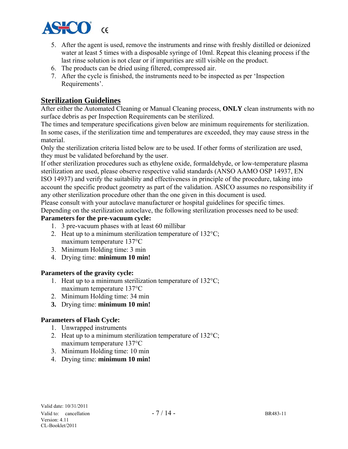

- 5. After the agent is used, remove the instruments and rinse with freshly distilled or deionized water at least 5 times with a disposable syringe of 10ml. Repeat this cleaning process if the last rinse solution is not clear or if impurities are still visible on the product.
- 6. The products can be dried using filtered, compressed air.
- 7. After the cycle is finished, the instruments need to be inspected as per 'Inspection Requirements'.

## **Sterilization Guidelines**

After either the Automated Cleaning or Manual Cleaning process, **ONLY** clean instruments with no surface debris as per Inspection Requirements can be sterilized.

The times and temperature specifications given below are minimum requirements for sterilization. In some cases, if the sterilization time and temperatures are exceeded, they may cause stress in the material.

Only the sterilization criteria listed below are to be used. If other forms of sterilization are used, they must be validated beforehand by the user.

If other sterilization procedures such as ethylene oxide, formaldehyde, or low-temperature plasma sterilization are used, please observe respective valid standards (ANSO AAMO OSP 14937, EN ISO 14937) and verify the suitability and effectiveness in principle of the procedure, taking into account the specific product geometry as part of the validation. ASICO assumes no responsibility if any other sterilization procedure other than the one given in this document is used. Please consult with your autoclave manufacturer or hospital guidelines for specific times.

Depending on the sterilization autoclave, the following sterilization processes need to be used:

#### **Parameters for the pre-vacuum cycle:**

- 1. 3 pre-vacuum phases with at least 60 millibar
- 2. Heat up to a minimum sterilization temperature of  $132^{\circ}C$ ; maximum temperature 137°C
- 3. Minimum Holding time: 3 min
- 4. Drying time: **minimum 10 min!**

#### **Parameters of the gravity cycle:**

- 1. Heat up to a minimum sterilization temperature of 132°C; maximum temperature 137°C
- 2. Minimum Holding time: 34 min
- **3.** Drying time: **minimum 10 min!**

#### **Parameters of Flash Cycle:**

- 1. Unwrapped instruments
- 2. Heat up to a minimum sterilization temperature of  $132^{\circ}$ C; maximum temperature 137°C
- 3. Minimum Holding time: 10 min
- 4. Drying time: **minimum 10 min!**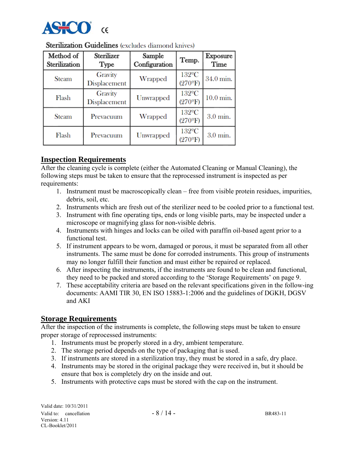

| Method of<br>Sterilization | <b>Sterilizer</b><br>Type | Sample<br>Configuration | Temp.                               | Exposure<br>Time |
|----------------------------|---------------------------|-------------------------|-------------------------------------|------------------|
| <b>Steam</b>               | Gravity<br>Displacement   | Wrapped                 | $132^{\circ}$ C<br>$(270^{\circ}F)$ | 34.0 min.        |
| Flash                      | Gravity<br>Displacement   | Unwrapped               | $132^{\circ}$ C<br>$(270^{\circ}F)$ | $10.0$ min.      |
| <b>Steam</b>               | Prevacuum                 | Wrapped                 | $132^{\circ}$ C<br>$(270^{\circ}F)$ | 3.0 min.         |
| Flash                      | Prevacuum                 | <b>Unwrapped</b>        | $132^{\circ}$ C<br>$(270^{\circ}F)$ | 3.0 min.         |

### **Sterilization Guidelines** (excludes diamond knives)

#### **Inspection Requirements**

After the cleaning cycle is complete (either the Automated Cleaning or Manual Cleaning), the following steps must be taken to ensure that the reprocessed instrument is inspected as per requirements:

- 1. Instrument must be macroscopically clean free from visible protein residues, impurities, debris, soil, etc.
- 2. Instruments which are fresh out of the sterilizer need to be cooled prior to a functional test.
- 3. Instrument with fine operating tips, ends or long visible parts, may be inspected under a microscope or magnifying glass for non-visible debris.
- 4. Instruments with hinges and locks can be oiled with paraffin oil-based agent prior to a functional test.
- 5. If instrument appears to be worn, damaged or porous, it must be separated from all other instruments. The same must be done for corroded instruments. This group of instruments may no longer fulfill their function and must either be repaired or replaced.
- 6. After inspecting the instruments, if the instruments are found to be clean and functional, they need to be packed and stored according to the 'Storage Requirements' on page 9.
- 7. These acceptability criteria are based on the relevant specifications given in the follow-ing documents: AAMI TIR 30, EN ISO 15883-1:2006 and the guidelines of DGKH, DGSV and AKI

## **Storage Requirements**

After the inspection of the instruments is complete, the following steps must be taken to ensure proper storage of reprocessed instruments:

- 1. Instruments must be properly stored in a dry, ambient temperature.
- 2. The storage period depends on the type of packaging that is used.
- 3. If instruments are stored in a sterilization tray, they must be stored in a safe, dry place.
- 4. Instruments may be stored in the original package they were received in, but it should be ensure that box is completely dry on the inside and out.
- 5. Instruments with protective caps must be stored with the cap on the instrument.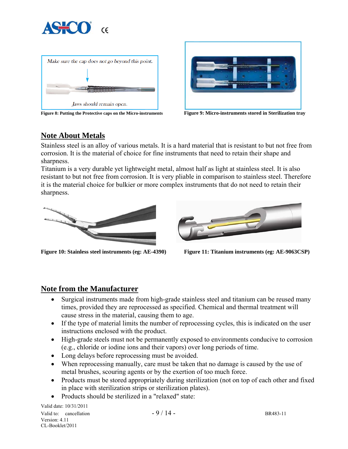





## **Note About Metals**

Stainless steel is an alloy of various metals. It is a hard material that is resistant to but not free from corrosion. It is the material of choice for fine instruments that need to retain their shape and sharpness.

Titanium is a very durable yet lightweight metal, almost half as light at stainless steel. It is also resistant to but not free from corrosion. It is very pliable in comparison to stainless steel. Therefore it is the material choice for bulkier or more complex instruments that do not need to retain their sharpness.





**Figure 10: Stainless steel instruments (eg: AE-4390) Figure 11: Titanium instruments (eg: AE-9063CSP)** 

## **Note from the Manufacturer**

- Surgical instruments made from high-grade stainless steel and titanium can be reused many times, provided they are reprocessed as specified. Chemical and thermal treatment will cause stress in the material, causing them to age.
- If the type of material limits the number of reprocessing cycles, this is indicated on the user instructions enclosed with the product.
- High-grade steels must not be permanently exposed to environments conducive to corrosion (e.g., chloride or iodine ions and their vapors) over long periods of time.
- Long delays before reprocessing must be avoided.
- When reprocessing manually, care must be taken that no damage is caused by the use of metal brushes, scouring agents or by the exertion of too much force.
- Products must be stored appropriately during sterilization (not on top of each other and fixed in place with sterilization strips or sterilization plates).
- Products should be sterilized in a "relaxed" state:

Valid date: 10/31/2011 Valid to: cancellation  $-9/14 -$  BR483-11 Version: 4.11 CL-Booklet/2011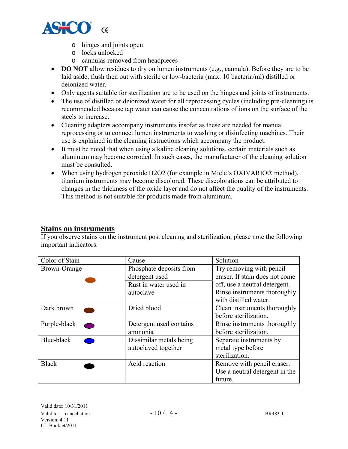

- o hinges and joints open
- o locks unlocked
- o cannulas removed from headpieces
- **DO NOT** allow residues to dry on lumen instruments (e.g., cannula). Before they are to be laid aside, flush then out with sterile or low-bacteria (max. 10 bacteria/ml) distilled or deionized water.
- Only agents suitable for sterilization are to be used on the hinges and joints of instruments.
- The use of distilled or deionized water for all reprocessing cycles (including pre-cleaning) is recommended because tap water can cause the concentrations of ions on the surface of the steels to increase.
- Cleaning adapters accompany instruments insofar as these are needed for manual reprocessing or to connect lumen instruments to washing or disinfecting machines. Their use is explained in the cleaning instructions which accompany the product.
- It must be noted that when using alkaline cleaning solutions, certain materials such as aluminum may become corroded. In such cases, the manufacturer of the cleaning solution must be consulted.
- When using hydrogen peroxide H2O2 (for example in Miele's OXIVARIO® method), titanium instruments may become discolored. These discolorations can be attributed to changes in the thickness of the oxide layer and do not affect the quality of the instruments. This method is not suitable for products made from aluminum.

#### **Stains on instruments**

If you observe stains on the instrument post cleaning and sterilization, please note the following important indicators.

| Color of Stain                           | Cause                   | Solution                                              |
|------------------------------------------|-------------------------|-------------------------------------------------------|
| Brown-Orange                             | Phosphate deposits from | Try removing with pencil                              |
|                                          | detergent used          | eraser. If stain does not come                        |
|                                          | Rust in water used in   | off, use a neutral detergent.                         |
|                                          | autoclave               | Rinse instruments thoroughly<br>with distilled water. |
|                                          |                         |                                                       |
| Dark brown                               | Dried blood             | Clean instruments thoroughly                          |
|                                          |                         | before sterilization.                                 |
| Purple-black<br>$\overline{\phantom{a}}$ | Detergent used contains | Rinse instruments thoroughly                          |
|                                          | ammonia                 | before sterilization.                                 |
| Blue-black                               | Dissimilar metals being | Separate instruments by                               |
|                                          | autoclaved together     | metal type before                                     |
|                                          |                         | sterilization.                                        |
| <b>Black</b>                             | Acid reaction           | Remove with pencil eraser.                            |
|                                          |                         | Use a neutral detergent in the                        |
|                                          |                         | future.                                               |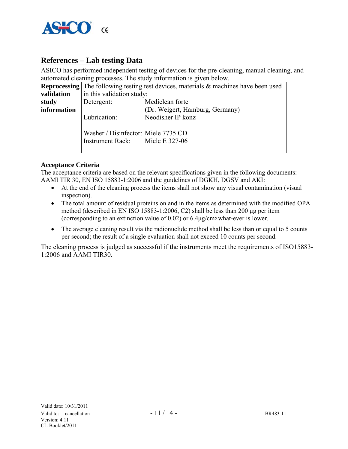

## **References – Lab testing Data**

ASICO has performed independent testing of devices for the pre-cleaning, manual cleaning, and automated cleaning processes. The study information is given below.

|             |                                                                        | <b>Reprocessing</b> The following testing test devices, materials & machines have been used |
|-------------|------------------------------------------------------------------------|---------------------------------------------------------------------------------------------|
| validation  | in this validation study;                                              |                                                                                             |
| study       | Detergent:                                                             | Mediclean forte                                                                             |
| information |                                                                        | (Dr. Weigert, Hamburg, Germany)                                                             |
|             | Lubrication:                                                           | Neodisher IP konz                                                                           |
|             | Washer / Disinfector: Miele 7735 CD<br>Instrument Rack: Miele E 327-06 |                                                                                             |

#### **Acceptance Criteria**

The acceptance criteria are based on the relevant specifications given in the following documents: AAMI TIR 30, EN ISO 15883-1:2006 and the guidelines of DGKH, DGSV and AKI:

- At the end of the cleaning process the items shall not show any visual contamination (visual inspection).
- The total amount of residual proteins on and in the items as determined with the modified OPA method (described in EN ISO 15883-1:2006, C2) shall be less than 200 μg per item (corresponding to an extinction value of 0.02) or 6.4μg/cm2 what-ever is lower.
- The average cleaning result via the radionuclide method shall be less than or equal to 5 counts per second; the result of a single evaluation shall not exceed 10 counts per second.

The cleaning process is judged as successful if the instruments meet the requirements of ISO15883- 1:2006 and AAMI TIR30.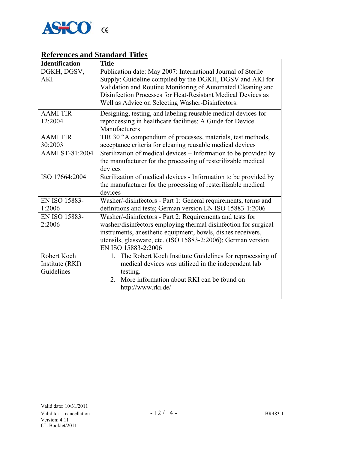

## **References and Standard Titles**

| <b>Identification</b>  | <b>Title</b>                                                     |
|------------------------|------------------------------------------------------------------|
| DGKH, DGSV,            | Publication date: May 2007: International Journal of Sterile     |
| <b>AKI</b>             | Supply: Guideline compiled by the DGKH, DGSV and AKI for         |
|                        | Validation and Routine Monitoring of Automated Cleaning and      |
|                        | Disinfection Processes for Heat-Resistant Medical Devices as     |
|                        | Well as Advice on Selecting Washer-Disinfectors:                 |
| <b>AAMITIR</b>         | Designing, testing, and labeling reusable medical devices for    |
| 12:2004                | reprocessing in healthcare facilities: A Guide for Device        |
|                        | Manufacturers                                                    |
| <b>AAMI TIR</b>        | TIR 30 "A compendium of processes, materials, test methods,      |
| 30:2003                | acceptance criteria for cleaning reusable medical devices        |
| <b>AAMI ST-81:2004</b> | Sterilization of medical devices - Information to be provided by |
|                        | the manufacturer for the processing of resterilizable medical    |
|                        | devices                                                          |
| ISO 17664:2004         | Sterilization of medical devices - Information to be provided by |
|                        | the manufacturer for the processing of resterilizable medical    |
|                        | devices                                                          |
| EN ISO 15883-          | Washer/-disinfectors - Part 1: General requirements, terms and   |
| 1:2006                 | definitions and tests; German version EN ISO 15883-1:2006        |
| EN ISO 15883-          | Washer/-disinfectors - Part 2: Requirements and tests for        |
| 2:2006                 | washer/disinfectors employing thermal disinfection for surgical  |
|                        | instruments, anesthetic equipment, bowls, dishes receivers,      |
|                        | utensils, glassware, etc. (ISO 15883-2:2006); German version     |
|                        | EN ISO 15883-2:2006                                              |
| Robert Koch            | 1. The Robert Koch Institute Guidelines for reprocessing of      |
| Institute (RKI)        | medical devices was utilized in the independent lab              |
| Guidelines             | testing.                                                         |
|                        | More information about RKI can be found on<br>2.                 |
|                        | http://www.rki.de/                                               |
|                        |                                                                  |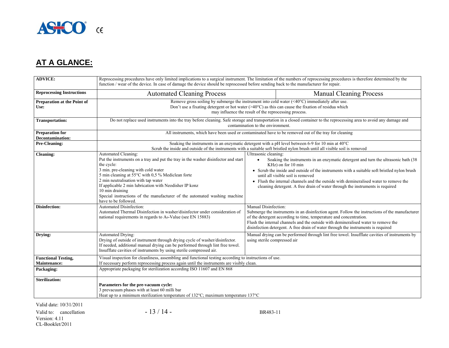

## **AT A GLANCE:**

| <b>ADVICE:</b>                                    | Reprocessing procedures have only limited implications to a surgical instrument. The limitation of the numbers of reprocessing procedures is therefore determined by the<br>function / wear of the device. In case of damage the device should be reprocessed before sending back to the manufacturer for repair.                                                                                                                            |                                                                                                       |                                                                                                                                                                                                                                                                                                                                                                                                                        |
|---------------------------------------------------|----------------------------------------------------------------------------------------------------------------------------------------------------------------------------------------------------------------------------------------------------------------------------------------------------------------------------------------------------------------------------------------------------------------------------------------------|-------------------------------------------------------------------------------------------------------|------------------------------------------------------------------------------------------------------------------------------------------------------------------------------------------------------------------------------------------------------------------------------------------------------------------------------------------------------------------------------------------------------------------------|
| <b>Reprocessing Instructions</b>                  | <b>Automated Cleaning Process</b>                                                                                                                                                                                                                                                                                                                                                                                                            |                                                                                                       | <b>Manual Cleaning Process</b>                                                                                                                                                                                                                                                                                                                                                                                         |
| Preparation at the Point of<br>Use:               | Remove gross soiling by submerge the instrument into cold water $(\leq 40^{\circ}$ C) immediately after use.<br>Don't use a fixating detergent or hot water $(>40^{\circ}C)$ as this can cause the fixation of residua which<br>may influence the result of the reprocessing process.                                                                                                                                                        |                                                                                                       |                                                                                                                                                                                                                                                                                                                                                                                                                        |
| <b>Transportation:</b>                            | Do not replace used instruments into the tray before cleaning. Safe storage and transportation in a closed container to the reprocessing area to avoid any damage and<br>contamination to the environment.                                                                                                                                                                                                                                   |                                                                                                       |                                                                                                                                                                                                                                                                                                                                                                                                                        |
| <b>Preparation for</b><br><b>Decontamination:</b> |                                                                                                                                                                                                                                                                                                                                                                                                                                              | All instruments, which have been used or contaminated have to be removed out of the tray for cleaning |                                                                                                                                                                                                                                                                                                                                                                                                                        |
| Pre-Cleaning:                                     | Soaking the instruments in an enzymatic detergent with a pH level between 6-9 for 10 min at 40°C<br>Scrub the inside and outside of the instruments with a suitable soft bristled nylon brush until all visible soil is removed                                                                                                                                                                                                              |                                                                                                       |                                                                                                                                                                                                                                                                                                                                                                                                                        |
| <b>Cleaning:</b>                                  | Automated Cleaning:<br>Put the instruments on a tray and put the tray in the washer disinfector and start<br>the cycle:<br>3 min. pre-cleaning with cold water<br>5 min cleaning at 55°C with 0,5 % Mediclean forte<br>2 min neutralisation with tap water<br>If applicable 2 min lubrication with Neodisher IP konz<br>10 min draining<br>Special instructions of the manufacturer of the automated washing machine<br>have to be followed. | Ultrasonic cleaning:<br>$\bullet$                                                                     | Soaking the instruments in an enzymatic detergent and turn the ultrasonic bath (38)<br>KHz) on for 10 min<br>• Scrub the inside and outside of the instruments with a suitable soft bristled nylon brush<br>until all visible soil is removed<br>• Flush the internal channels and the outside with demineralised water to remove the<br>cleaning detergent. A free drain of water through the instruments is required |
| <b>Disinfection:</b>                              | Automated Disinfection:<br>Automated Thermal Disinfection in washer/disinfector under consideration of<br>national requirements in regards to $A_0$ -Value (see EN 15883)                                                                                                                                                                                                                                                                    | Manual Disinfection:                                                                                  | Submerge the instruments in an disinfection agent. Follow the instructions of the manufacturer<br>of the detergent according to time, temperature and concentration.<br>Flush the internal channels and the outside with demineralised water to remove the<br>disinfection detergent. A free drain of water through the instruments is required                                                                        |
| Drying:                                           | Automated Drying:<br>Drying of outside of instrument through drying cycle of washer/disinfector.<br>If needed, additional manual drying can be performed through lint free towel.<br>Insufflate cavities of instruments by using sterile compressed air.                                                                                                                                                                                     | using sterile compressed air                                                                          | Manual drying can be performed through lint free towel. Insufflate cavities of instruments by                                                                                                                                                                                                                                                                                                                          |
| <b>Functional Testing,</b><br>Maintenance:        | Visual inspection for cleanliness, assembling and functional testing according to instructions of use.<br>If necessary perform reprocessing process again until the instruments are visibly clean.                                                                                                                                                                                                                                           |                                                                                                       |                                                                                                                                                                                                                                                                                                                                                                                                                        |
| Packaging:                                        | Appropriate packaging for sterilization according ISO 11607 and EN 868                                                                                                                                                                                                                                                                                                                                                                       |                                                                                                       |                                                                                                                                                                                                                                                                                                                                                                                                                        |
| <b>Sterilization:</b>                             | Parameters for the pre-vacuum cycle:<br>3 prevacuum phases with at least 60 milli bar<br>Heat up to a minimum sterilization temperature of $132^{\circ}$ C; maximum temperature $137^{\circ}$ C                                                                                                                                                                                                                                              |                                                                                                       |                                                                                                                                                                                                                                                                                                                                                                                                                        |

Valid date: 10/31/2011

Valid to: cancellation  $-13/14$ -Version: 4.11 CL-Booklet/2011

BR483-11